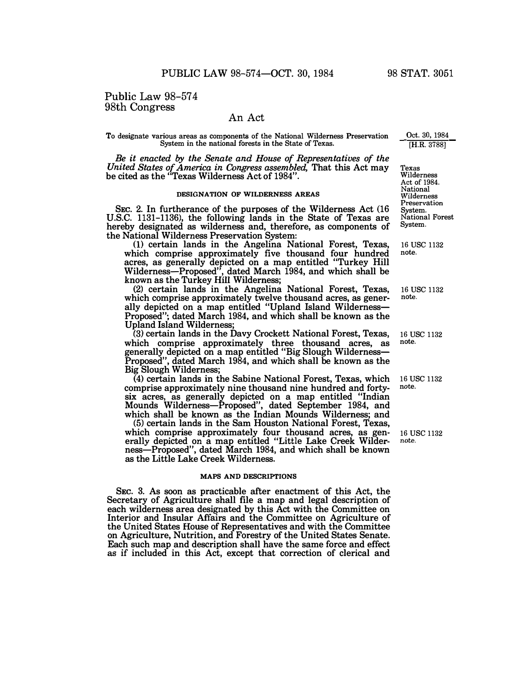# An Act

**To designate various areas as components of the National Wilderness Preservation System in the national forests in the State of Texas.** 

*Be it enacted by the Senate and House of Representatives of the United States of America in Congress assembled,* **That this Act may be cited as the "Texas Wilderness Act of 1984".** 

### **DESIGNATION OF WILDERNESS AREAS**

**SEC. 2. In furtherance of the purposes of the Wilderness Act (16 U.S.C.** 1131-1136), **the following lands in the State of Texas are hereby designated as wilderness and, therefore, as components of the National Wilderness Preservation System:** 

**(1) certain lands in the Angelina National Forest, Texas, which comprise approximately five thousand four hundred acres, as generally depicted on a map entitled "Turkey Hill Wilderness-Proposed", dated March 1984, and which shall be known as the Turkey Hill Wilderness;** 

**(2) certain lands in the Angelina National Forest, Texas, which comprise approximately twelve thousand acres, as generally depicted on a map entitled "Upland Island Wilderness-Proposed"; dated March 1984, and which shall be known as the Upland Island Wilderness;** 

(3) **certain lands in the Davy Crockett National Forest, Texas, which comprise approximately three thousand acres, as generally depicted on a map entitled "Big Slough Wilderness-Proposed", dated March 1984, and which shall be known as the Big Slough Wilderness;** 

**(4) certain lands in the Sabine National Forest, Texas, which comprise approximately nine thousand nine hundred and fortysix acres, as generally depicted on a map entitled "Indian Mounds Wilderness-Proposed", dated September 1984, and which shall be known as the Indian Mounds Wilderness; and** 

**(5) certain lands in the Sam Houston National Forest, Texas, which comprise approximately four thousand acres, as generally depicted on a map entitled "Little Lake Creek Wilderness-Proposed", dated March 1984, and which shall be known as the Little Lake Creek Wilderness.** 

## **MAPS AND DESCRIPTIONS**

**SEC. 3. As soon as practicable after enactment of this Act, the Secretary of Agriculture shall file a map and legal description of each wilderness area designated by this Act with the Committee on Interior and Insular Affairs and the Committee on Agriculture of the United States House of Representatives and with the Committee on Agriculture, Nutrition, and Forestry of the United States Senate. Each such map and description shall have the same force and effect as** if **included in this Act, except that correction of clerical and** 

**Oct. 30, 1984 [H.R. 3788]** 

**Texas Wilderness Act of 1984. National Wilderness Preservation System. National Forest System.** 

**16 USC 1132 note.** 

**16 USC 1132 note.** 

**16 USC 1132 note.** 

**16 USC 1132 note.** 

**16 USC 1132 note.**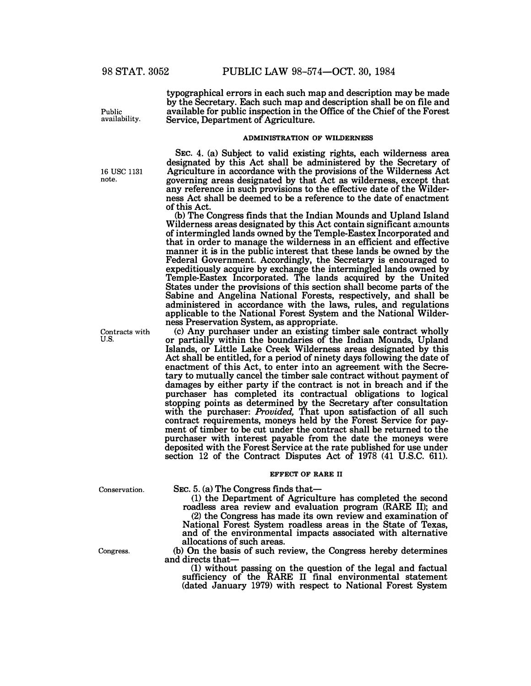**typographical errors in each such map and description may be made by the Secretary. Each such map and description shall be on file and available for public inspection in the Office of the Chief of the Forest Service, Department of Agriculture.** 

### **ADMINISTRATION OF WILDERNESS**

**SEC. 4. (a) Subject to valid existing rights, each wilderness area designated by this Act shall be administered by the Secretary of Agriculture in accordance with the provisions of the Wilderness Act governing areas designated by that Act as wilderness, except that any reference in such provisions to the effective date of the Wilderness Act shall be deemed to be a reference to the date of enactment of this Act.** 

**(b) The Congress finds that the Indian Mounds and Upland Island Wilderness areas designated by this Act contain significant amounts of intermingled lands owned by the Temple-Eastex Incorporated and that in order to manage the wilderness in an efficient and effective manner it is in the public interest that these lands be owned by the Federal Government. Accordingly, the Secretary is encouraged to expeditiously acquire by exchange the intermingled lands owned by Temple-Eastex Incorporated. The lands acquired by the United States under the provisions of this section shall become parts of the Sabine and Angelina National Forests, respectively, and shall be administered in accordance with the laws, rules, and regulations applicable to the National Forest System and the National Wilderness Preservation System, as appropriate.** 

**(c) Any purchaser under an existing timber sale contract wholly or partially within the boundaries of the Indian Mounds, Upland Islands, or Little Lake Creek Wilderness areas designated by this Act shall be entitled, for a period of ninety days following the date of enactment of this Act, to enter into an agreement with the Secretary to mutually cancel the timber sale contract without payment of damages by either party if the contract is not in breach and if the purchaser has completed its contractual obligations to logical stopping points as determined by the Secretary after consultation with the purchaser:** *Provided,* **That upon satisfaction of all such contract requirements, moneys held by the Forest Service for payment of timber to be cut under the contract shall be returned to the purchaser with interest payable from the date the moneys were deposited with the Forest Service at the rate published for use under section 12 of the Contract Disputes Act of 1978 (41 U.S.C. 611).** 

### **EFFECT OF RARE II**

**Conservation.** 

SEC. 5. (a) The Congress finds that-

**(1) the Department of Agriculture has completed the second roadless area review and evaluation program (RARE** II); **and** 

**(2) the Congress has made its own review and examination of National Forest System roadless areas in the State of Texas, and of the environmental impacts associated with alternative allocations of such areas.** 

**(b) On the basis of such review, the Congress hereby determines and directs that-**

**(1) without passing on the question of the legal and factual sufficiency of the RARE II final environmental statement (dated January 1979) with respect to National Forest System** 

**Congress.** 

**availability.** 

**Public** 

**note.** 

**Contracts with U.S.** 

<sup>16</sup>**usc** <sup>1131</sup>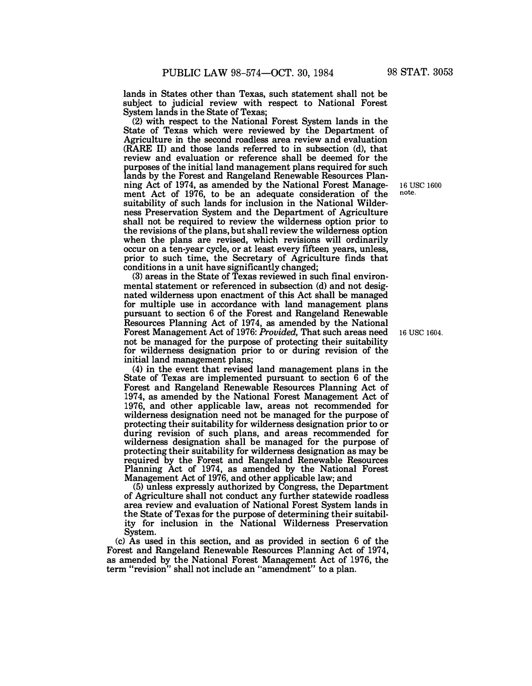**lands in States other than Texas, such statement shall not be subject to judicial review with respect to National Forest System lands in the State of Texas;** 

**(2) with respect to the National Forest System lands in the State of Texas which were reviewed by the Department of Agriculture in the second roadless area review and evaluation (RARE** II) **and those lands referred to in subsection (d), that review and evaluation or reference shall be deemed for the purposes of the initial land management plans required for such lands by the Forest and Rangeland Renewable Resources Planning Act of 1974, as amended by the National Forest Management Act of 1976, to be an adequate consideration of the suitability of such lands for inclusion in the National Wilderness Preservation System and the Department of Agriculture shall not be required to review the wilderness option prior to the revisions of the plans, but shall review the wilderness option when the plans are revised, which revisions will ordinarily occur on a ten-year cycle, or at least every fifteen years, unless, prior to such time, the Secretary of Agriculture finds that**  conditions in a unit have significantly changed;

**(3) areas in the State of Texas reviewed in such final environmental statement or referenced in subsection (d) and not designated wilderness upon enactment of this Act shall be managed for multiple use in accordance with land management plans pursuant to section 6 of the Forest and Rangeland Renewable Resources Planning Act of 1974, as amended by the National Forest Management Act of 1976:** *Provided,* **That such areas need not be managed for the purpose of protecting their suitability for wilderness designation prior to or during revision of the initial land management plans;** 

**(4) in the event that revised land management plans in the State of Texas are implemented pursuant to section 6 of the Forest and Rangeland Renewable Resources Planning Act of 1974, as amended by the National Forest Management Act of 1976, and other applicable law, areas not recommended for wilderness designation need not be managed for the purpose of protecting their suitability for wilderness designation prior to or during revision of such plans, and areas recommended for wilderness designation shall be managed for the purpose of protecting their suitability for wilderness designation as may be required by the Forest and Rangeland Renewable Resources**  Planning Act of 1974, as amended by the National Forest **Management Act of 1976, and other applicable law; and** 

**(5) unless expressly authorized by Congress, the Department of Agriculture shall not conduct any further statewide roadless area review and evaluation of National Forest System lands in the State of Texas for the purpose of determining their suitability for inclusion in the National Wilderness Preservation System.** 

**(c) As used in this section, and as provided in section 6 of the**  Forest and Rangeland Renewable Resources Planning Act of 1974, **as amended by the National Forest Management Act of 1976, the term "revision" shall not include an "amendment" to a plan.** 

**<sup>16</sup>use <sup>1600</sup> note.**

**16 use 1604.**